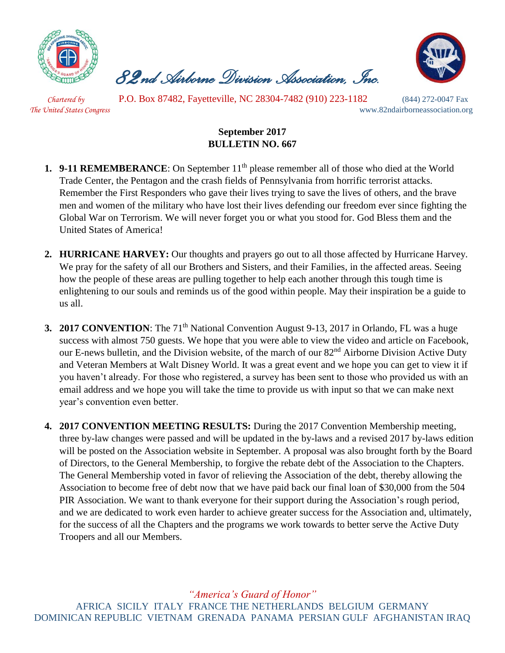

 *82nd Airborne Division Association, Inc.* 



 *Chartered by* P.O. Box 87482, Fayetteville, NC 28304-7482 (910) 223-1182 (844) 272-0047 Fax *The United States Congress* www.82ndairborneassociation.org

## **September 2017 BULLETIN NO. 667**

- **1. 9-11 REMEMBERANCE**: On September 11<sup>th</sup> please remember all of those who died at the World Trade Center, the Pentagon and the crash fields of Pennsylvania from horrific terrorist attacks. Remember the First Responders who gave their lives trying to save the lives of others, and the brave men and women of the military who have lost their lives defending our freedom ever since fighting the Global War on Terrorism. We will never forget you or what you stood for. God Bless them and the United States of America!
- **2. HURRICANE HARVEY:** Our thoughts and prayers go out to all those affected by Hurricane Harvey. We pray for the safety of all our Brothers and Sisters, and their Families, in the affected areas. Seeing how the people of these areas are pulling together to help each another through this tough time is enlightening to our souls and reminds us of the good within people. May their inspiration be a guide to us all.
- **3. 2017 CONVENTION**: The 71<sup>th</sup> National Convention August 9-13, 2017 in Orlando, FL was a huge success with almost 750 guests. We hope that you were able to view the video and article on Facebook, our E-news bulletin, and the Division website, of the march of our 82<sup>nd</sup> Airborne Division Active Duty and Veteran Members at Walt Disney World. It was a great event and we hope you can get to view it if you haven't already. For those who registered, a survey has been sent to those who provided us with an email address and we hope you will take the time to provide us with input so that we can make next year's convention even better.
- **4. 2017 CONVENTION MEETING RESULTS:** During the 2017 Convention Membership meeting, three by-law changes were passed and will be updated in the by-laws and a revised 2017 by-laws edition will be posted on the Association website in September. A proposal was also brought forth by the Board of Directors, to the General Membership, to forgive the rebate debt of the Association to the Chapters. The General Membership voted in favor of relieving the Association of the debt, thereby allowing the Association to become free of debt now that we have paid back our final loan of \$30,000 from the 504 PIR Association. We want to thank everyone for their support during the Association's rough period, and we are dedicated to work even harder to achieve greater success for the Association and, ultimately, for the success of all the Chapters and the programs we work towards to better serve the Active Duty Troopers and all our Members.

*"America's Guard of Honor"* AFRICA SICILY ITALY FRANCE THE NETHERLANDS BELGIUM GERMANY DOMINICAN REPUBLIC VIETNAM GRENADA PANAMA PERSIAN GULF AFGHANISTAN IRAQ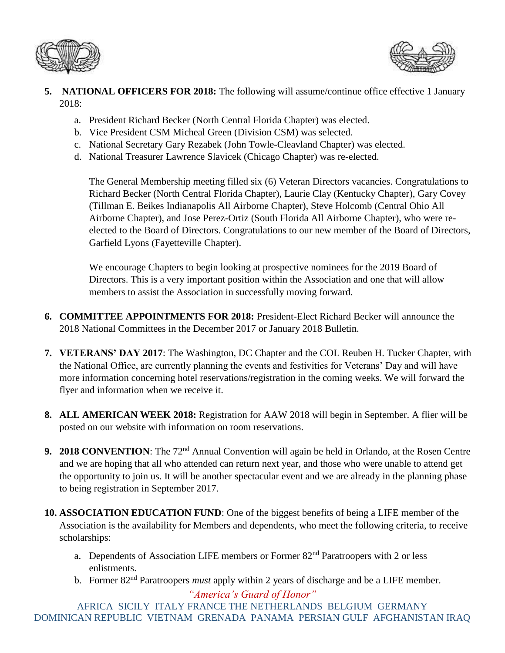



- **5. NATIONAL OFFICERS FOR 2018:** The following will assume/continue office effective 1 January 2018:
	- a. President Richard Becker (North Central Florida Chapter) was elected.
	- b. Vice President CSM Micheal Green (Division CSM) was selected.
	- c. National Secretary Gary Rezabek (John Towle-Cleavland Chapter) was elected.
	- d. National Treasurer Lawrence Slavicek (Chicago Chapter) was re-elected.

The General Membership meeting filled six (6) Veteran Directors vacancies. Congratulations to Richard Becker (North Central Florida Chapter), Laurie Clay (Kentucky Chapter), Gary Covey (Tillman E. Beikes Indianapolis All Airborne Chapter), Steve Holcomb (Central Ohio All Airborne Chapter), and Jose Perez-Ortiz (South Florida All Airborne Chapter), who were reelected to the Board of Directors. Congratulations to our new member of the Board of Directors, Garfield Lyons (Fayetteville Chapter).

We encourage Chapters to begin looking at prospective nominees for the 2019 Board of Directors. This is a very important position within the Association and one that will allow members to assist the Association in successfully moving forward.

- **6. COMMITTEE APPOINTMENTS FOR 2018:** President-Elect Richard Becker will announce the 2018 National Committees in the December 2017 or January 2018 Bulletin.
- **7. VETERANS' DAY 2017**: The Washington, DC Chapter and the COL Reuben H. Tucker Chapter, with the National Office, are currently planning the events and festivities for Veterans' Day and will have more information concerning hotel reservations/registration in the coming weeks. We will forward the flyer and information when we receive it.
- **8. ALL AMERICAN WEEK 2018:** Registration for AAW 2018 will begin in September. A flier will be posted on our website with information on room reservations.
- **9. 2018 CONVENTION**: The 72nd Annual Convention will again be held in Orlando, at the Rosen Centre and we are hoping that all who attended can return next year, and those who were unable to attend get the opportunity to join us. It will be another spectacular event and we are already in the planning phase to being registration in September 2017.
- **10. ASSOCIATION EDUCATION FUND**: One of the biggest benefits of being a LIFE member of the Association is the availability for Members and dependents, who meet the following criteria, to receive scholarships:
	- a. Dependents of Association LIFE members or Former 82<sup>nd</sup> Paratroopers with 2 or less enlistments.
	- *"America's Guard of Honor"* b. Former 82nd Paratroopers *must* apply within 2 years of discharge and be a LIFE member.

AFRICA SICILY ITALY FRANCE THE NETHERLANDS BELGIUM GERMANY DOMINICAN REPUBLIC VIETNAM GRENADA PANAMA PERSIAN GULF AFGHANISTAN IRAQ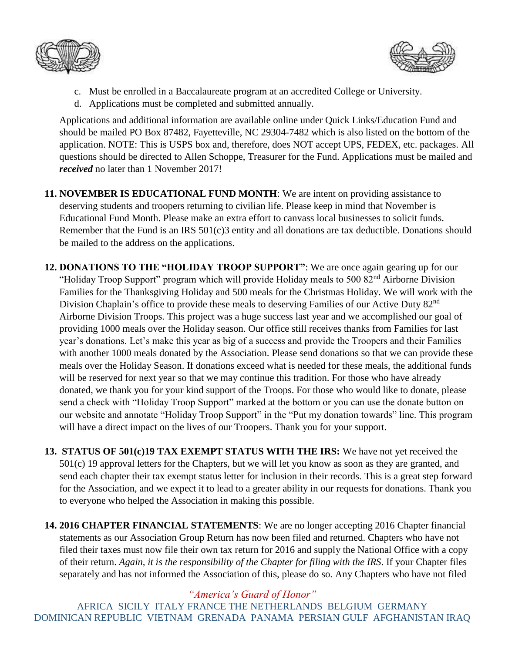



- c. Must be enrolled in a Baccalaureate program at an accredited College or University.
- d. Applications must be completed and submitted annually.

Applications and additional information are available online under Quick Links/Education Fund and should be mailed PO Box 87482, Fayetteville, NC 29304-7482 which is also listed on the bottom of the application. NOTE: This is USPS box and, therefore, does NOT accept UPS, FEDEX, etc. packages. All questions should be directed to Allen Schoppe, Treasurer for the Fund. Applications must be mailed and *received* no later than 1 November 2017!

**11. NOVEMBER IS EDUCATIONAL FUND MONTH**: We are intent on providing assistance to deserving students and troopers returning to civilian life. Please keep in mind that November is Educational Fund Month. Please make an extra effort to canvass local businesses to solicit funds. Remember that the Fund is an IRS 501(c)3 entity and all donations are tax deductible. Donations should be mailed to the address on the applications.

- **12. DONATIONS TO THE "HOLIDAY TROOP SUPPORT"**: We are once again gearing up for our "Holiday Troop Support" program which will provide Holiday meals to 500 82<sup>nd</sup> Airborne Division Families for the Thanksgiving Holiday and 500 meals for the Christmas Holiday. We will work with the Division Chaplain's office to provide these meals to deserving Families of our Active Duty 82<sup>nd</sup> Airborne Division Troops. This project was a huge success last year and we accomplished our goal of providing 1000 meals over the Holiday season. Our office still receives thanks from Families for last year's donations. Let's make this year as big of a success and provide the Troopers and their Families with another 1000 meals donated by the Association. Please send donations so that we can provide these meals over the Holiday Season. If donations exceed what is needed for these meals, the additional funds will be reserved for next year so that we may continue this tradition. For those who have already donated, we thank you for your kind support of the Troops. For those who would like to donate, please send a check with "Holiday Troop Support" marked at the bottom or you can use the donate button on our website and annotate "Holiday Troop Support" in the "Put my donation towards" line. This program will have a direct impact on the lives of our Troopers. Thank you for your support.
- **13. STATUS OF 501(c)19 TAX EXEMPT STATUS WITH THE IRS:** We have not yet received the 501(c) 19 approval letters for the Chapters, but we will let you know as soon as they are granted, and send each chapter their tax exempt status letter for inclusion in their records. This is a great step forward for the Association, and we expect it to lead to a greater ability in our requests for donations. Thank you to everyone who helped the Association in making this possible.
- **14. 2016 CHAPTER FINANCIAL STATEMENTS**: We are no longer accepting 2016 Chapter financial statements as our Association Group Return has now been filed and returned. Chapters who have not filed their taxes must now file their own tax return for 2016 and supply the National Office with a copy of their return. *Again, it is the responsibility of the Chapter for filing with the IRS*. If your Chapter files separately and has not informed the Association of this, please do so. Any Chapters who have not filed

*"America's Guard of Honor"*

AFRICA SICILY ITALY FRANCE THE NETHERLANDS BELGIUM GERMANY DOMINICAN REPUBLIC VIETNAM GRENADA PANAMA PERSIAN GULF AFGHANISTAN IRAQ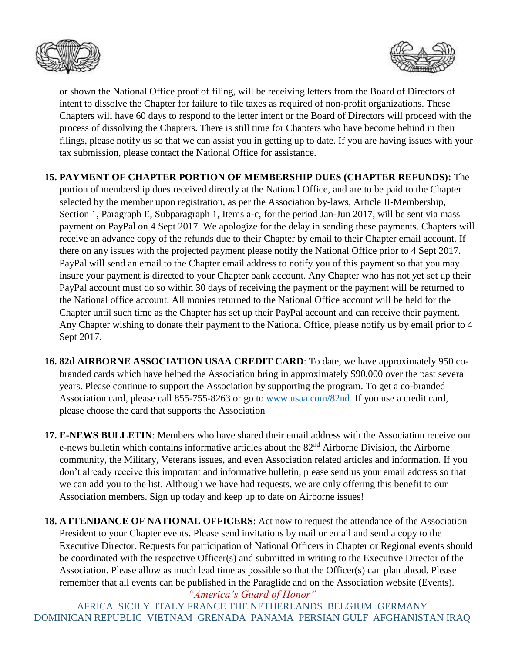



or shown the National Office proof of filing, will be receiving letters from the Board of Directors of intent to dissolve the Chapter for failure to file taxes as required of non-profit organizations. These Chapters will have 60 days to respond to the letter intent or the Board of Directors will proceed with the process of dissolving the Chapters. There is still time for Chapters who have become behind in their filings, please notify us so that we can assist you in getting up to date. If you are having issues with your tax submission, please contact the National Office for assistance.

## **15. PAYMENT OF CHAPTER PORTION OF MEMBERSHIP DUES (CHAPTER REFUNDS):** The

portion of membership dues received directly at the National Office, and are to be paid to the Chapter selected by the member upon registration, as per the Association by-laws, Article II-Membership, Section 1, Paragraph E, Subparagraph 1, Items a-c, for the period Jan-Jun 2017, will be sent via mass payment on PayPal on 4 Sept 2017. We apologize for the delay in sending these payments. Chapters will receive an advance copy of the refunds due to their Chapter by email to their Chapter email account. If there on any issues with the projected payment please notify the National Office prior to 4 Sept 2017. PayPal will send an email to the Chapter email address to notify you of this payment so that you may insure your payment is directed to your Chapter bank account. Any Chapter who has not yet set up their PayPal account must do so within 30 days of receiving the payment or the payment will be returned to the National office account. All monies returned to the National Office account will be held for the Chapter until such time as the Chapter has set up their PayPal account and can receive their payment. Any Chapter wishing to donate their payment to the National Office, please notify us by email prior to 4 Sept 2017.

- **16. 82d AIRBORNE ASSOCIATION USAA CREDIT CARD**: To date, we have approximately 950 cobranded cards which have helped the Association bring in approximately \$90,000 over the past several years. Please continue to support the Association by supporting the program. To get a co-branded Association card, please call 855-755-8263 or go to [www.usaa.com/82nd.](http://www.usaa.com/82nd) If you use a credit card, please choose the card that supports the Association
- **17. E-NEWS BULLETIN**: Members who have shared their email address with the Association receive our e-news bulletin which contains informative articles about the 82<sup>nd</sup> Airborne Division, the Airborne community, the Military, Veterans issues, and even Association related articles and information. If you don't already receive this important and informative bulletin, please send us your email address so that we can add you to the list. Although we have had requests, we are only offering this benefit to our Association members. Sign up today and keep up to date on Airborne issues!
- **18. ATTENDANCE OF NATIONAL OFFICERS**: Act now to request the attendance of the Association President to your Chapter events. Please send invitations by mail or email and send a copy to the Executive Director. Requests for participation of National Officers in Chapter or Regional events should be coordinated with the respective Officer(s) and submitted in writing to the Executive Director of the Association. Please allow as much lead time as possible so that the Officer(s) can plan ahead. Please remember that all events can be published in the Paraglide and on the Association website (Events).

*"America's Guard of Honor"* AFRICA SICILY ITALY FRANCE THE NETHERLANDS BELGIUM GERMANY DOMINICAN REPUBLIC VIETNAM GRENADA PANAMA PERSIAN GULF AFGHANISTAN IRAQ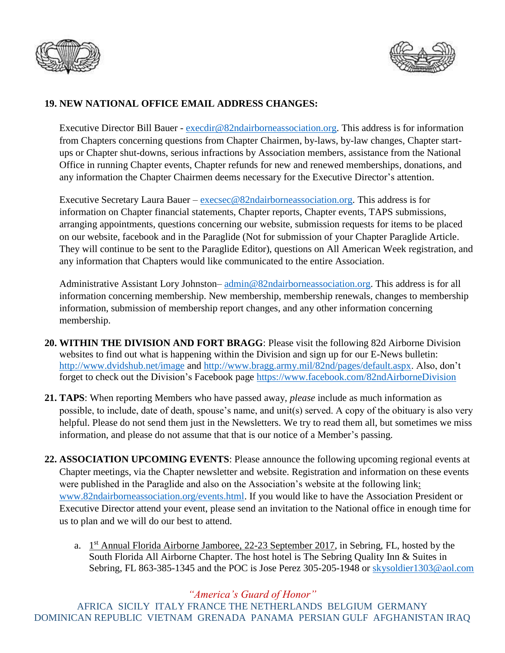



## **19. NEW NATIONAL OFFICE EMAIL ADDRESS CHANGES:**

Executive Director Bill Bauer - [execdir@82ndairborneassociation.org.](mailto:execdir@82ndairborneassociation.org) This address is for information from Chapters concerning questions from Chapter Chairmen, by-laws, by-law changes, Chapter startups or Chapter shut-downs, serious infractions by Association members, assistance from the National Office in running Chapter events, Chapter refunds for new and renewed memberships, donations, and any information the Chapter Chairmen deems necessary for the Executive Director's attention.

Executive Secretary Laura Bauer – [execsec@82ndairborneassociation.org.](mailto:execsec@82ndairborneassociation.org) This address is for information on Chapter financial statements, Chapter reports, Chapter events, TAPS submissions, arranging appointments, questions concerning our website, submission requests for items to be placed on our website, facebook and in the Paraglide (Not for submission of your Chapter Paraglide Article. They will continue to be sent to the Paraglide Editor), questions on All American Week registration, and any information that Chapters would like communicated to the entire Association.

Administrative Assistant Lory Johnston–  $\frac{\text{admin@82ndairborne association.org}}{\text{address}}$ . This address is for all information concerning membership. New membership, membership renewals, changes to membership information, submission of membership report changes, and any other information concerning membership.

- **20. WITHIN THE DIVISION AND FORT BRAGG**: Please visit the following 82d Airborne Division websites to find out what is happening within the Division and sign up for our E-News bulletin: <http://www.dvidshub.net/image> and [http://www.bragg.army.mil/82nd/pages/default.aspx.](http://www.bragg.army.mil/82ND/Pages/default.aspx) Also, don't forget to check out the Division's Facebook page<https://www.facebook.com/82ndAirborneDivision>
- **21. TAPS**: When reporting Members who have passed away, *please* include as much information as possible, to include, date of death, spouse's name, and unit(s) served. A copy of the obituary is also very helpful. Please do not send them just in the Newsletters. We try to read them all, but sometimes we miss information, and please do not assume that that is our notice of a Member's passing.
- **22. ASSOCIATION UPCOMING EVENTS**: Please announce the following upcoming regional events at Chapter meetings, via the Chapter newsletter and website. Registration and information on these events were published in the Paraglide and also on the Association's website at the following link: [www.82ndairborneassociation.org/events.html.](http://www.82ndairborneassociation.org/events.html) If you would like to have the Association President or Executive Director attend your event, please send an invitation to the National office in enough time for us to plan and we will do our best to attend.
	- a.  $1<sup>st</sup>$  Annual Florida Airborne Jamboree, 22-23 September 2017, in Sebring, FL, hosted by the South Florida All Airborne Chapter. The host hotel is The Sebring Quality Inn & Suites in Sebring, FL 863-385-1345 and the POC is Jose Perez 305-205-1948 or [skysoldier1303@aol.com](mailto:skysoldier1303@aol.com)

*"America's Guard of Honor"*

AFRICA SICILY ITALY FRANCE THE NETHERLANDS BELGIUM GERMANY DOMINICAN REPUBLIC VIETNAM GRENADA PANAMA PERSIAN GULF AFGHANISTAN IRAQ